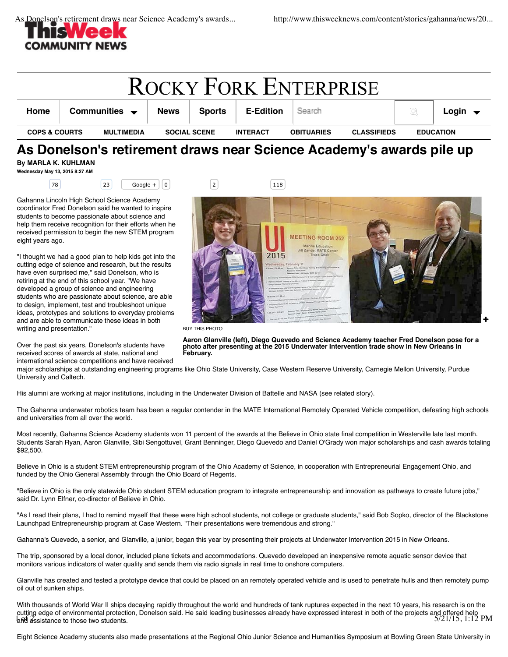

| <b>ROCKY FORK ENTERPRISE</b> |  |                                   |                     |               |                  |                   |                    |                  |                            |
|------------------------------|--|-----------------------------------|---------------------|---------------|------------------|-------------------|--------------------|------------------|----------------------------|
| Home                         |  | Communities $\blacktriangleright$ | <b>News</b>         | <b>Sports</b> | <b>E-Edition</b> | Search            |                    |                  | Login $\blacktriangledown$ |
| <b>COPS &amp; COURTS</b>     |  | MULTIMEDIA                        | <b>SOCIAL SCENE</b> |               | <b>INTERACT</b>  | <b>OBITUARIES</b> | <b>CLASSIFIEDS</b> | <b>EDUCATION</b> |                            |

## **As Donelson's retirement draws near Science Academy's awards pile up By MARLA K. KUHLMAN**

**Wednesday May 13, 2015 8:27 AM**

Gahanna Lincoln High School Science Academy coordinator Fred Donelson said he wanted to inspire students to become passionate about science and help them receive recognition for their efforts when he received permission to begin the new STEM program eight years ago.

"I thought we had a good plan to help kids get into the cutting edge of science and research, but the results have even surprised me," said Donelson, who is retiring at the end of this school year. "We have developed a group of science and engineering students who are passionate about science, are able to design, implement, test and troubleshoot unique ideas, prototypes and solutions to everyday problems and are able to communicate these ideas in both writing and presentation."

Over the past six years, Donelson's students have received scores of awards at state, national and international science competitions and have received

78 23 Google + 0 2 2 118



BUY THIS PHOTO

**Aaron Glanville (left), Diego Quevedo and Science Academy teacher Fred Donelson pose for a photo after presenting at the 2015 Underwater Intervention trade show in New Orleans in February.**

major scholarships at outstanding engineering programs like Ohio State University, Case Western Reserve University, Carnegie Mellon University, Purdue University and Caltech.

His alumni are working at major institutions, including in the Underwater Division of Battelle and NASA (see related story).

The Gahanna underwater robotics team has been a regular contender in the MATE International Remotely Operated Vehicle competition, defeating high schools and universities from all over the world.

Most recently, Gahanna Science Academy students won 11 percent of the awards at the Believe in Ohio state final competition in Westerville late last month. Students Sarah Ryan, Aaron Glanville, Sibi Sengottuvel, Grant Benninger, Diego Quevedo and Daniel O'Grady won major scholarships and cash awards totaling \$92,500.

Believe in Ohio is a student STEM entrepreneurship program of the Ohio Academy of Science, in cooperation with Entrepreneurial Engagement Ohio, and funded by the Ohio General Assembly through the Ohio Board of Regents.

"Believe in Ohio is the only statewide Ohio student STEM education program to integrate entrepreneurship and innovation as pathways to create future jobs," said Dr. Lynn Elfner, co-director of Believe in Ohio.

"As I read their plans, I had to remind myself that these were high school students, not college or graduate students," said Bob Sopko, director of the Blackstone Launchpad Entrepreneurship program at Case Western. "Their presentations were tremendous and strong."

Gahanna's Quevedo, a senior, and Glanville, a junior, began this year by presenting their projects at Underwater Intervention 2015 in New Orleans.

The trip, sponsored by a local donor, included plane tickets and accommodations. Quevedo developed an inexpensive remote aquatic sensor device that monitors various indicators of water quality and sends them via radio signals in real time to onshore computers.

Glanville has created and tested a prototype device that could be placed on an remotely operated vehicle and is used to penetrate hulls and then remotely pump oil out of sunken ships.

With thousands of World War II ships decaying rapidly throughout the world and hundreds of tank ruptures expected in the next 10 years, his research is on the cutting edge of environmental protection, Donelson said. He said leading businesses already have expressed interest in both of the projects and offered help<br>121/15, 1:12 PM and assistance to those two students.

Eight Science Academy students also made presentations at the Regional Ohio Junior Science and Humanities Symposium at Bowling Green State University in